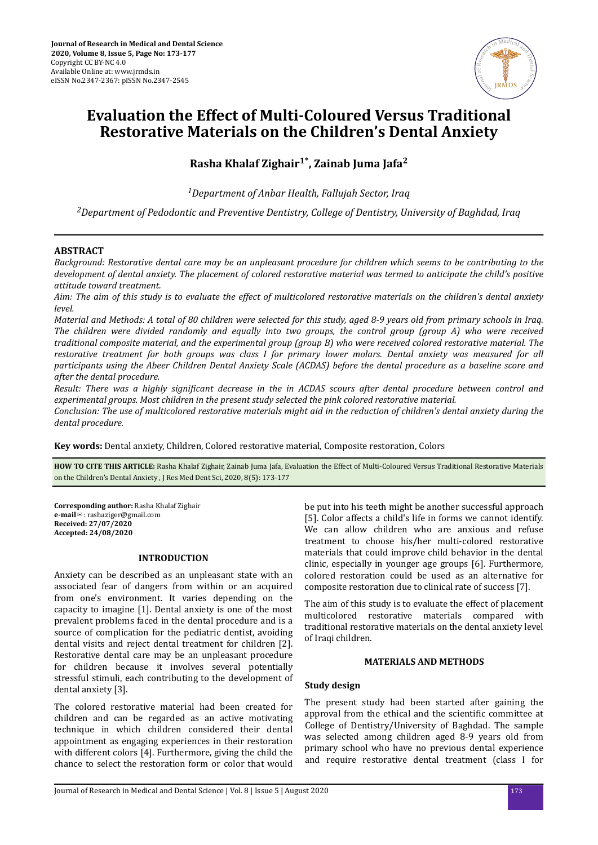

# **Evaluation the Effect of Multi-Coloured Versus Traditional Restorative Materials on the Children's Dental Anxiety**

**Rasha Khalaf Zighair1\*, Zainab Juma Jafa<sup>2</sup>**

*<sup>1</sup>Department of Anbar Health, Fallujah Sector, Iraq*

*<sup>2</sup>Department of Pedodontic and Preventive Dentistry, College of Dentistry, University of Baghdad, Iraq*

# **ABSTRACT**

*Background: Restorative dental care may be an unpleasant procedure for children which seems to be contributing to the development of dental anxiety. The placement of colored restorative material was termed to anticipate the child's positive attitude toward treatment.*

*Aim: The aim of this study is to evaluate the effect of multicolored restorative materials on the children's dental anxiety level.*

*Material and Methods: A total of 80 children were selected for this study, aged 8-9 years old from primary schools in Iraq. The children were divided randomly and equally into two groups, the control group (group A) who were received traditional composite material, and the experimental group (group B) who were received colored restorative material. The restorative treatment for both groups was class I for primary lower molars. Dental anxiety was measured for all participants using the Abeer Children Dental Anxiety Scale (ACDAS) before the dental procedure as a baseline score and after the dental procedure.*

*Result: There was a highly significant decrease in the in ACDAS scours after dental procedure between control and experimental groups. Most children in the present study selected the pink colored restorative material.*

*Conclusion: The use of multicolored restorative materials might aid in the reduction of children's dental anxiety during the dental procedure.*

**Key words:** Dental anxiety, Children, Colored restorative material, Composite restoration, Colors

**HOW TO CITE THIS ARTICLE:** Rasha Khalaf Zighair, Zainab Juma Jafa, Evaluation the Effect of Multi-Coloured Versus Traditional Restorative Materials on the Children's Dental Anxiety , J Res Med Dent Sci, 2020, 8(5): 173-177

**Corresponding author:** Rasha Khalaf Zighair **e-mail**✉: rashaziger@gmail.com **Received: 27/07/2020 Accepted: 24/08/2020** 

## **INTRODUCTION**

Anxiety can be described as an unpleasant state with an associated fear of dangers from within or an acquired from one's environment. It varies depending on the capacity to imagine [1]. Dental anxiety is one of the most prevalent problems faced in the dental procedure and is a source of complication for the pediatric dentist, avoiding dental visits and reject dental treatment for children [2]. Restorative dental care may be an unpleasant procedure for children because it involves several potentially stressful stimuli, each contributing to the development of dental anxiety [3].

The colored restorative material had been created for children and can be regarded as an active motivating technique in which children considered their dental appointment as engaging experiences in their restoration with different colors [4]. Furthermore, giving the child the chance to select the restoration form or color that would

be put into his teeth might be another successful approach [5]. Color affects a child's life in forms we cannot identify. We can allow children who are anxious and refuse treatment to choose his/her multi-colored restorative materials that could improve child behavior in the dental clinic, especially in younger age groups [6]. Furthermore, colored restoration could be used as an alternative for composite restoration due to clinical rate of success [7].

The aim of this study is to evaluate the effect of placement multicolored restorative materials compared with traditional restorative materials on the dental anxiety level of Iraqi children.

#### **MATERIALS AND METHODS**

### **Study design**

The present study had been started after gaining the approval from the ethical and the scientific committee at College of Dentistry/University of Baghdad. The sample was selected among children aged 8-9 years old from primary school who have no previous dental experience and require restorative dental treatment (class I for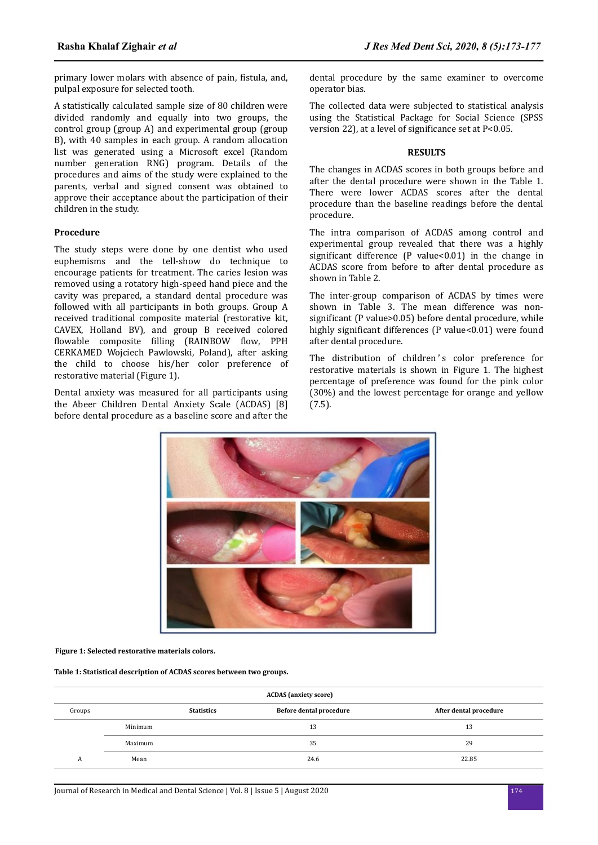primary lower molars with absence of pain, fistula, and, pulpal exposure for selected tooth.

A statistically calculated sample size of 80 children were divided randomly and equally into two groups, the control group (group A) and experimental group (group B), with 40 samples in each group. A random allocation list was generated using a Microsoft excel (Random number generation RNG) program. Details of the procedures and aims of the study were explained to the parents, verbal and signed consent was obtained to approve their acceptance about the participation of their children in the study.

## **Procedure**

The study steps were done by one dentist who used euphemisms and the tell-show do technique to encourage patients for treatment. The caries lesion was removed using a rotatory high-speed hand piece and the cavity was prepared, a standard dental procedure was followed with all participants in both groups. Group A received traditional composite material (restorative kit, CAVEX, Holland BV), and group B received colored flowable composite filling (RAINBOW flow, PPH CERKAMED Wojciech Pawlowski, Poland), after asking the child to choose his/her color preference of restorative material (Figure 1).

Dental anxiety was measured for all participants using the Abeer Children Dental Anxiety Scale (ACDAS) [8] before dental procedure as a baseline score and after the dental procedure by the same examiner to overcome operator bias.

The collected data were subjected to statistical analysis using the Statistical Package for Social Science (SPSS version 22), at a level of significance set at  $P<0.05$ .

#### **RESULTS**

The changes in ACDAS scores in both groups before and after the dental procedure were shown in the Table 1. There were lower ACDAS scores after the dental procedure than the baseline readings before the dental procedure.

The intra comparison of ACDAS among control and experimental group revealed that there was a highly significant difference (P value< $0.01$ ) in the change in ACDAS score from before to after dental procedure as shown in Table 2.

The inter-group comparison of ACDAS by times were shown in Table 3. The mean difference was nonsignificant (P value>0.05) before dental procedure, while highly significant differences (P value<0.01) were found after dental procedure.

The distribution of children's color preference for restorative materials is shown in Figure 1. The highest percentage of preference was found for the pink color (30%) and the lowest percentage for orange and yellow (7.5).



**Figure 1: Selected restorative materials colors.**

**Table 1: Statistical description of ACDAS scores between two groups.**

| <b>ACDAS</b> (anxiety score) |                   |  |                         |                        |  |  |  |
|------------------------------|-------------------|--|-------------------------|------------------------|--|--|--|
| Groups                       | <b>Statistics</b> |  | Before dental procedure | After dental procedure |  |  |  |
|                              | Minimum           |  | 13                      | 13                     |  |  |  |
|                              | Maximum           |  | 35                      | 29                     |  |  |  |
| А                            | Mean              |  | 24.6                    | 22.85                  |  |  |  |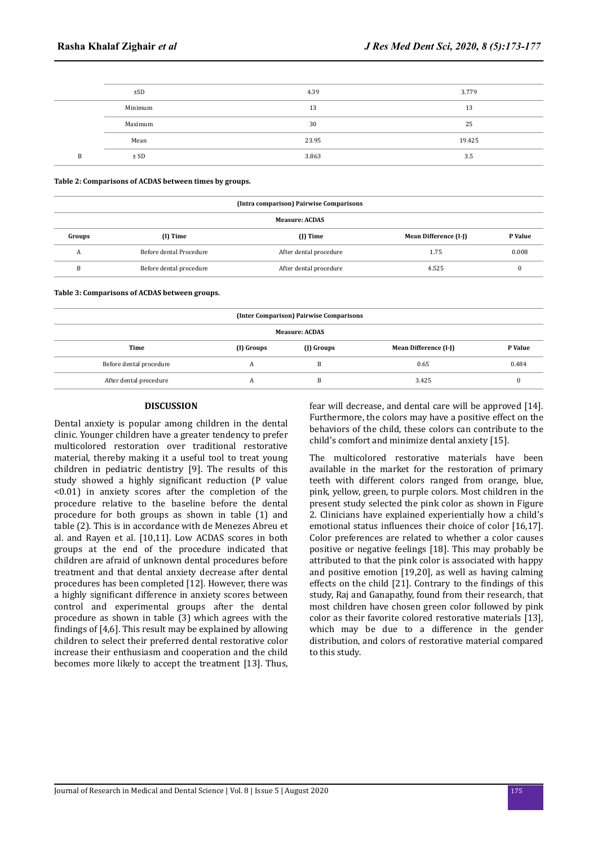| $\pm$ SD | 4.39  | 3.779  |  |
|----------|-------|--------|--|
| Minimum  | 13    | 13     |  |
| Maximum  | 30    | 25     |  |
| Mean     | 23.95 | 19.425 |  |
| ± SD     | 3.863 | 3.5    |  |

**Table 2: Comparisons of ACDAS between times by groups.**

|                       | (Intra comparison) Pairwise Comparisons |                        |                       |         |  |  |  |  |  |
|-----------------------|-----------------------------------------|------------------------|-----------------------|---------|--|--|--|--|--|
| <b>Measure: ACDAS</b> |                                         |                        |                       |         |  |  |  |  |  |
| Groups                | $(I)$ Time                              | $(1)$ Time             | Mean Difference (I-J) | P Value |  |  |  |  |  |
| A                     | Before dental Procedure                 | After dental procedure | 1.75                  | 0.008   |  |  |  |  |  |
| B                     | Before dental procedure                 | After dental procedure | 4.525                 |         |  |  |  |  |  |
|                       |                                         |                        |                       |         |  |  |  |  |  |

**Table 3: Comparisons of ACDAS between groups.**

| (Inter Comparison) Pairwise Comparisons |            |                       |         |  |  |  |  |  |
|-----------------------------------------|------------|-----------------------|---------|--|--|--|--|--|
| <b>Measure: ACDAS</b>                   |            |                       |         |  |  |  |  |  |
| (I) Groups                              | (J) Groups | Mean Difference (I-J) | P Value |  |  |  |  |  |
|                                         | D          | 0.65                  | 0.484   |  |  |  |  |  |
|                                         | B          | 3.425                 |         |  |  |  |  |  |
|                                         |            |                       |         |  |  |  |  |  |

#### **DISCUSSION**

Dental anxiety is popular among children in the dental clinic. Younger children have a greater tendency to prefer multicolored restoration over traditional restorative material, thereby making it a useful tool to treat young children in pediatric dentistry [9]. The results of this study showed a highly significant reduction (P value <0.01) in anxiety scores after the completion of the procedure relative to the baseline before the dental procedure for both groups as shown in table (1) and table (2). This is in accordance with de Menezes Abreu et al. and Rayen et al. [10,11]. Low ACDAS scores in both groups at the end of the procedure indicated that children are afraid of unknown dental procedures before treatment and that dental anxiety decrease after dental procedures has been completed [12]. However, there was a highly significant difference in anxiety scores between control and experimental groups after the dental procedure as shown in table (3) which agrees with the findings of  $[4,6]$ . This result may be explained by allowing children to select their preferred dental restorative color increase their enthusiasm and cooperation and the child becomes more likely to accept the treatment [13]. Thus, fear will decrease, and dental care will be approved [14]. Furthermore, the colors may have a positive effect on the behaviors of the child, these colors can contribute to the child's comfort and minimize dental anxiety [15].

The multicolored restorative materials have been available in the market for the restoration of primary teeth with different colors ranged from orange, blue, pink, yellow, green, to purple colors. Most children in the present study selected the pink color as shown in Figure 2. Clinicians have explained experientially how a child's emotional status influences their choice of color [16,17]. Color preferences are related to whether a color causes positive or negative feelings [18]. This may probably be attributed to that the pink color is associated with happy and positive emotion [19,20], as well as having calming effects on the child  $[21]$ . Contrary to the findings of this study, Raj and Ganapathy, found from their research, that most children have chosen green color followed by pink color as their favorite colored restorative materials [13], which may be due to a difference in the gender distribution, and colors of restorative material compared to this study.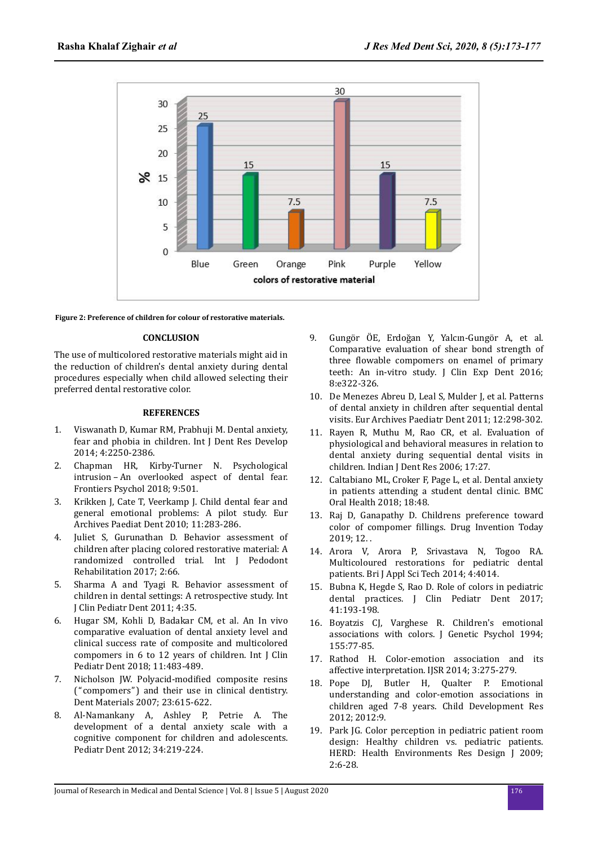

**Figure 2: Preference of children for colour of restorative materials.**

## **CONCLUSION**

The use of multicolored restorative materials might aid in the reduction of children's dental anxiety during dental procedures especially when child allowed selecting their preferred dental restorative color.

## **REFERENCES**

- 1. Viswanath D, Kumar RM, Prabhuji M. Dental anxiety, fear and phobia in children. Int J Dent Res Develop 2014; 4:2250-2386.
- 2. Chapman HR, Kirby-Turner N. Psychological intrusion – An overlooked aspect of dental fear. Frontiers Psychol 2018; 9:501.
- 3. Krikken J, Cate T, Veerkamp J. Child dental fear and general emotional problems: A pilot study. Eur Archives Paediat Dent 2010; 11:283-286.
- 4. Juliet S, Gurunathan D. Behavior assessment of children after placing colored restorative material: A randomized controlled trial. Int J Pedodont Rehabilitation 2017; 2:66.
- 5. Sharma A and Tyagi R. Behavior assessment of children in dental settings: A retrospective study. Int J Clin Pediatr Dent 2011; 4:35.
- 6. Hugar SM, Kohli D, Badakar CM, et al. An In vivo comparative evaluation of dental anxiety level and clinical success rate of composite and multicolored compomers in 6 to 12 years of children. Int J Clin Pediatr Dent 2018; 11:483-489.
- 7. Nicholson JW. Polyacid-modified composite resins ("compomers") and their use in clinical dentistry. Dent Materials 2007; 23:615-622.
- 8. Al-Namankany A, Ashley P, Petrie A. The development of a dental anxiety scale with a cognitive component for children and adolescents. Pediatr Dent 2012; 34:219-224.
- 9. ungör ÖE, Erdoğan Y, Yalcın-Gungör A, et al. Comparative evaluation of shear bond strength of three flowable compomers on enamel of primary teeth: An in-vitro study. J Clin Exp Dent 2016; 8:e322-326.
- 10. De Menezes Abreu D, Leal S, Mulder J, et al. Patterns of dental anxiety in children after sequential dental visits. Eur Archives Paediatr Dent 2011; 12:298-302.
- 11. Rayen R, Muthu M, Rao CR, et al. Evaluation of physiological and behavioral measures in relation to dental anxiety during sequential dental visits in children. Indian J Dent Res 2006; 17:27.
- 12. Caltabiano ML, Croker F, Page L, et al. Dental anxiety in patients attending a student dental clinic. BMC Oral Health 2018; 18:48.
- 13. Raj D, Ganapathy D. Childrens preference toward color of compomer fillings. Drug Invention Today 2019; 12. .
- 14. Arora V, Arora P, Srivastava N, Togoo RA. Multicoloured restorations for pediatric dental patients. Bri J Appl Sci Tech 2014; 4:4014.
- 15. Bubna K, Hegde S, Rao D. Role of colors in pediatric dental practices. J Clin Pediatr Dent 2017; 41:193-198.
- 16. Boyatzis CJ, Varghese R. Children's emotional associations with colors. I Genetic Psychol 1994: 155:77-85.
- 17. Rathod H. Color-emotion association and its affective interpretation. IJSR 2014; 3:275-279.
- 18. Pope DJ, Butler H, Qualter P. Emotional understanding and color-emotion associations in children aged 7-8 years. Child Development Res 2012; 2012:9.
- 19. Park JG. Color perception in pediatric patient room design: Healthy children vs. pediatric patients. HERD: Health Environments Res Design J 2009; 2:6-28.